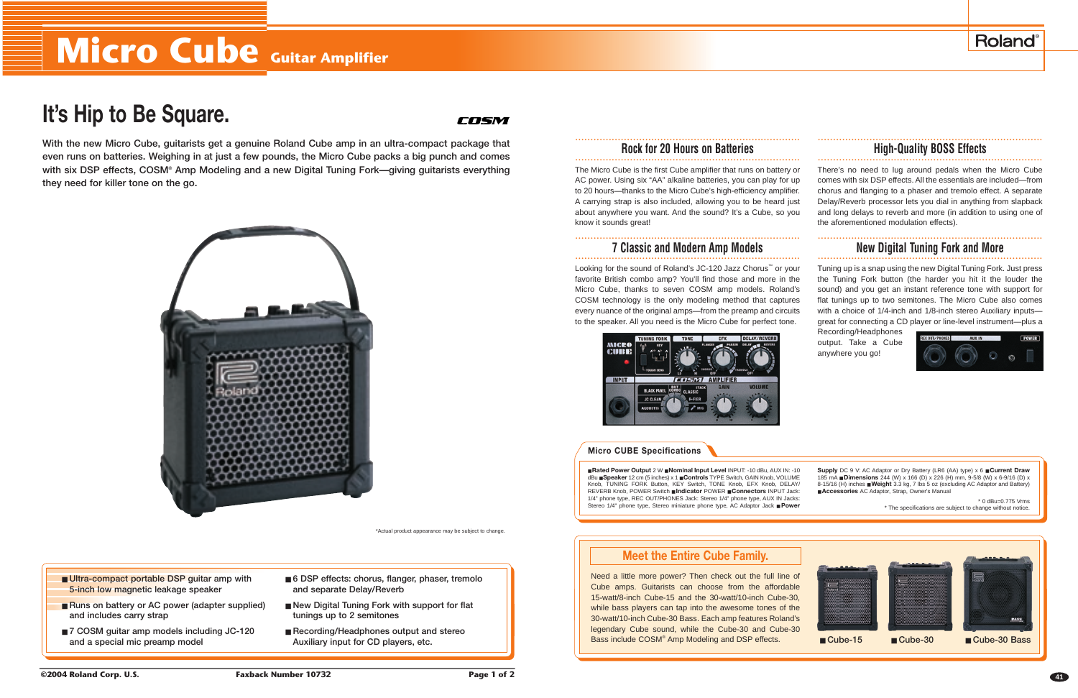# **Micro Cube Guitar Amplifier**

# **It's Hip to Be Square.**

# COSM

**With the new Micro Cube, guitarists get a genuine Roland Cube amp in an ultra-compact package that even runs on batteries. Weighing in at just a few pounds, the Micro Cube packs a big punch and comes with six DSP effects, COSM® Amp Modeling and a new Digital Tuning Fork—giving guitarists everything they need for killer tone on the go.**



\*Actual product appearance may be subject to change.

- Ultra-compact portable DSP guitar amp with **5-inch low magnetic leakage speaker**
- Runs on battery or AC power (adapter supplied) **and includes carry strap**
- **7 COSM** guitar amp models including JC-120 **and a special mic preamp model**
- 6 DSP effects: chorus, flanger, phaser, tremolo **and separate Delay/Reverb**
- New Digital Tuning Fork with support for flat **tunings up to 2 semitones**
- **Recording/Headphones output and stereo Auxiliary input for CD players, etc.**